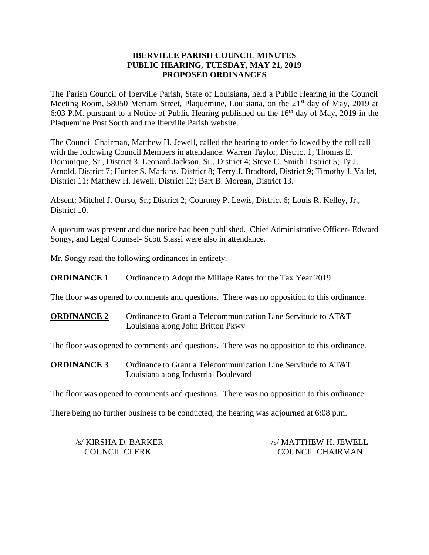### **IBERVILLE PARISH COUNCIL MINUTES PUBLIC HEARING, TUESDAY, MAY 21, 2019 PROPOSED ORDINANCES**

The Parish Council of Iberville Parish, State of Louisiana, held a Public Hearing in the Council Meeting Room, 58050 Meriam Street, Plaquemine, Louisiana, on the 21<sup>st</sup> day of May, 2019 at 6:03 P.M. pursuant to a Notice of Public Hearing published on the  $16<sup>th</sup>$  day of May, 2019 in the Plaquemine Post South and the Iberville Parish website.

The Council Chairman, Matthew H. Jewell, called the hearing to order followed by the roll call with the following Council Members in attendance: Warren Taylor, District 1; Thomas E. Dominique, Sr., District 3; Leonard Jackson, Sr., District 4; Steve C. Smith District 5; Ty J. Arnold, District 7; Hunter S. Markins, District 8; Terry J. Bradford, District 9; Timothy J. Vallet, District 11; Matthew H. Jewell, District 12; Bart B. Morgan, District 13.

Absent: Mitchel J. Ourso, Sr.; District 2; Courtney P. Lewis, District 6; Louis R. Kelley, Jr., District 10.

A quorum was present and due notice had been published. Chief Administrative Officer- Edward Songy, and Legal Counsel- Scott Stassi were also in attendance.

Mr. Songy read the following ordinances in entirety.

**ORDINANCE 1** Ordinance to Adopt the Millage Rates for the Tax Year 2019

The floor was opened to comments and questions. There was no opposition to this ordinance.

**ORDINANCE 2** Ordinance to Grant a Telecommunication Line Servitude to AT&T Louisiana along John Britton Pkwy

The floor was opened to comments and questions. There was no opposition to this ordinance.

**ORDINANCE 3** Ordinance to Grant a Telecommunication Line Servitude to AT&T Louisiana along Industrial Boulevard

The floor was opened to comments and questions. There was no opposition to this ordinance.

There being no further business to be conducted, the hearing was adjourned at 6:08 p.m.

| /s/ KIRSHA D. BARKER | /s/ MATTHEW H. JEWELL   |
|----------------------|-------------------------|
| <b>COUNCIL CLERK</b> | <b>COUNCIL CHAIRMAN</b> |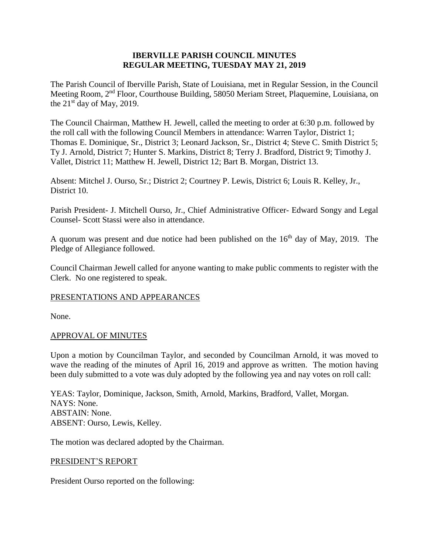### **IBERVILLE PARISH COUNCIL MINUTES REGULAR MEETING, TUESDAY MAY 21, 2019**

The Parish Council of Iberville Parish, State of Louisiana, met in Regular Session, in the Council Meeting Room, 2nd Floor, Courthouse Building, 58050 Meriam Street, Plaquemine, Louisiana, on the  $21<sup>st</sup>$  day of May, 2019.

The Council Chairman, Matthew H. Jewell, called the meeting to order at 6:30 p.m. followed by the roll call with the following Council Members in attendance: Warren Taylor, District 1; Thomas E. Dominique, Sr., District 3; Leonard Jackson, Sr., District 4; Steve C. Smith District 5; Ty J. Arnold, District 7; Hunter S. Markins, District 8; Terry J. Bradford, District 9; Timothy J. Vallet, District 11; Matthew H. Jewell, District 12; Bart B. Morgan, District 13.

Absent: Mitchel J. Ourso, Sr.; District 2; Courtney P. Lewis, District 6; Louis R. Kelley, Jr., District 10.

Parish President- J. Mitchell Ourso, Jr., Chief Administrative Officer- Edward Songy and Legal Counsel- Scott Stassi were also in attendance.

A quorum was present and due notice had been published on the  $16<sup>th</sup>$  day of May, 2019. The Pledge of Allegiance followed.

Council Chairman Jewell called for anyone wanting to make public comments to register with the Clerk. No one registered to speak.

## PRESENTATIONS AND APPEARANCES

None.

### APPROVAL OF MINUTES

Upon a motion by Councilman Taylor, and seconded by Councilman Arnold, it was moved to wave the reading of the minutes of April 16, 2019 and approve as written. The motion having been duly submitted to a vote was duly adopted by the following yea and nay votes on roll call:

YEAS: Taylor, Dominique, Jackson, Smith, Arnold, Markins, Bradford, Vallet, Morgan. NAYS: None. ABSTAIN: None. ABSENT: Ourso, Lewis, Kelley.

The motion was declared adopted by the Chairman.

#### PRESIDENT'S REPORT

President Ourso reported on the following: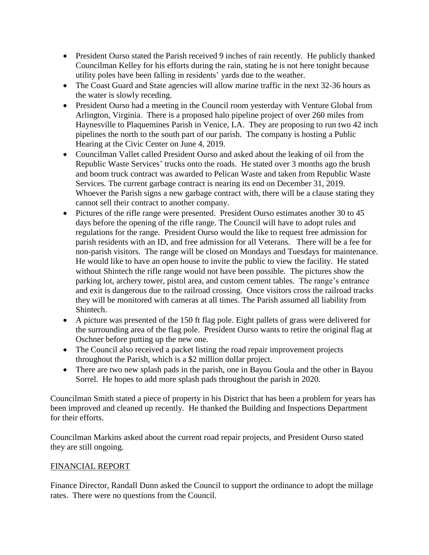- President Ourso stated the Parish received 9 inches of rain recently. He publicly thanked Councilman Kelley for his efforts during the rain, stating he is not here tonight because utility poles have been falling in residents' yards due to the weather.
- The Coast Guard and State agencies will allow marine traffic in the next 32-36 hours as the water is slowly receding.
- President Ourso had a meeting in the Council room yesterday with Venture Global from Arlington, Virginia. There is a proposed halo pipeline project of over 260 miles from Haynesville to Plaquemines Parish in Venice, LA. They are proposing to run two 42 inch pipelines the north to the south part of our parish. The company is hosting a Public Hearing at the Civic Center on June 4, 2019.
- Councilman Vallet called President Ourso and asked about the leaking of oil from the Republic Waste Services' trucks onto the roads. He stated over 3 months ago the brush and boom truck contract was awarded to Pelican Waste and taken from Republic Waste Services. The current garbage contract is nearing its end on December 31, 2019. Whoever the Parish signs a new garbage contract with, there will be a clause stating they cannot sell their contract to another company.
- Pictures of the rifle range were presented. President Ourso estimates another 30 to 45 days before the opening of the rifle range. The Council will have to adopt rules and regulations for the range. President Ourso would the like to request free admission for parish residents with an ID, and free admission for all Veterans. There will be a fee for non-parish visitors. The range will be closed on Mondays and Tuesdays for maintenance. He would like to have an open house to invite the public to view the facility. He stated without Shintech the rifle range would not have been possible. The pictures show the parking lot, archery tower, pistol area, and custom cement tables. The range's entrance and exit is dangerous due to the railroad crossing. Once visitors cross the railroad tracks they will be monitored with cameras at all times. The Parish assumed all liability from Shintech.
- A picture was presented of the 150 ft flag pole. Eight pallets of grass were delivered for the surrounding area of the flag pole. President Ourso wants to retire the original flag at Oschner before putting up the new one.
- The Council also received a packet listing the road repair improvement projects throughout the Parish, which is a \$2 million dollar project.
- There are two new splash pads in the parish, one in Bayou Goula and the other in Bayou Sorrel. He hopes to add more splash pads throughout the parish in 2020.

Councilman Smith stated a piece of property in his District that has been a problem for years has been improved and cleaned up recently. He thanked the Building and Inspections Department for their efforts.

Councilman Markins asked about the current road repair projects, and President Ourso stated they are still ongoing.

## FINANCIAL REPORT

Finance Director, Randall Dunn asked the Council to support the ordinance to adopt the millage rates. There were no questions from the Council.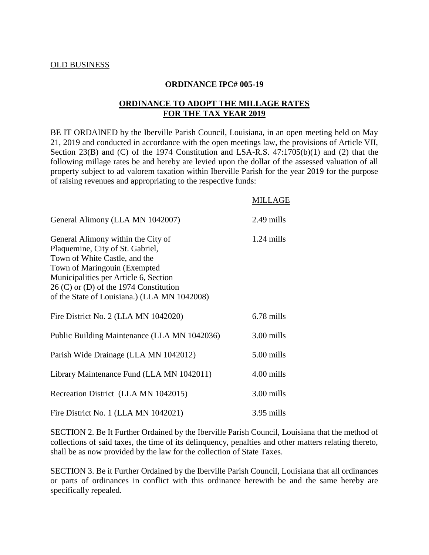#### **ORDINANCE IPC# 005-19**

### **ORDINANCE TO ADOPT THE MILLAGE RATES FOR THE TAX YEAR 2019**

BE IT ORDAINED by the Iberville Parish Council, Louisiana, in an open meeting held on May 21, 2019 and conducted in accordance with the open meetings law, the provisions of Article VII, Section 23(B) and (C) of the 1974 Constitution and LSA-R.S. 47:1705(b)(1) and (2) that the following millage rates be and hereby are levied upon the dollar of the assessed valuation of all property subject to ad valorem taxation within Iberville Parish for the year 2019 for the purpose of raising revenues and appropriating to the respective funds:

#### MILLAGE

| General Alimony (LLA MN 1042007)                                                                                                                                                                                                                                             | 2.49 mills   |
|------------------------------------------------------------------------------------------------------------------------------------------------------------------------------------------------------------------------------------------------------------------------------|--------------|
| General Alimony within the City of<br>Plaquemine, City of St. Gabriel,<br>Town of White Castle, and the<br>Town of Maringouin (Exempted<br>Municipalities per Article 6, Section<br>$26$ (C) or (D) of the 1974 Constitution<br>of the State of Louisiana.) (LLA MN 1042008) | $1.24$ mills |
| Fire District No. 2 (LLA MN 1042020)                                                                                                                                                                                                                                         | 6.78 mills   |
| Public Building Maintenance (LLA MN 1042036)                                                                                                                                                                                                                                 | 3.00 mills   |
| Parish Wide Drainage (LLA MN 1042012)                                                                                                                                                                                                                                        | 5.00 mills   |
| Library Maintenance Fund (LLA MN 1042011)                                                                                                                                                                                                                                    | 4.00 mills   |
| Recreation District (LLA MN 1042015)                                                                                                                                                                                                                                         | 3.00 mills   |
| Fire District No. 1 (LLA MN 1042021)                                                                                                                                                                                                                                         | 3.95 mills   |

SECTION 2. Be It Further Ordained by the Iberville Parish Council, Louisiana that the method of collections of said taxes, the time of its delinquency, penalties and other matters relating thereto, shall be as now provided by the law for the collection of State Taxes.

SECTION 3. Be it Further Ordained by the Iberville Parish Council, Louisiana that all ordinances or parts of ordinances in conflict with this ordinance herewith be and the same hereby are specifically repealed.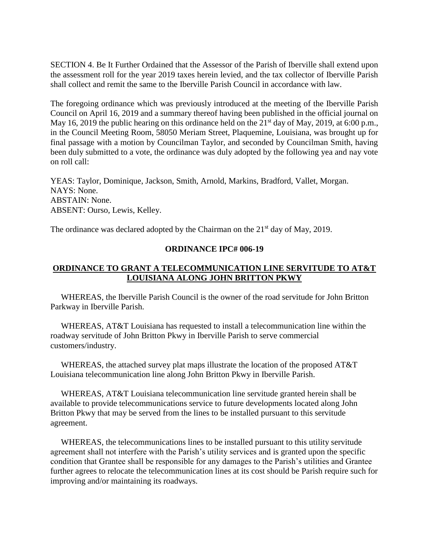SECTION 4. Be It Further Ordained that the Assessor of the Parish of Iberville shall extend upon the assessment roll for the year 2019 taxes herein levied, and the tax collector of Iberville Parish shall collect and remit the same to the Iberville Parish Council in accordance with law.

The foregoing ordinance which was previously introduced at the meeting of the Iberville Parish Council on April 16, 2019 and a summary thereof having been published in the official journal on May 16, 2019 the public hearing on this ordinance held on the  $21<sup>st</sup>$  day of May, 2019, at 6:00 p.m., in the Council Meeting Room, 58050 Meriam Street, Plaquemine, Louisiana, was brought up for final passage with a motion by Councilman Taylor, and seconded by Councilman Smith, having been duly submitted to a vote, the ordinance was duly adopted by the following yea and nay vote on roll call:

YEAS: Taylor, Dominique, Jackson, Smith, Arnold, Markins, Bradford, Vallet, Morgan. NAYS: None. ABSTAIN: None. ABSENT: Ourso, Lewis, Kelley.

The ordinance was declared adopted by the Chairman on the  $21<sup>st</sup>$  day of May, 2019.

#### **ORDINANCE IPC# 006-19**

## **ORDINANCE TO GRANT A TELECOMMUNICATION LINE SERVITUDE TO AT&T LOUISIANA ALONG JOHN BRITTON PKWY**

 WHEREAS, the Iberville Parish Council is the owner of the road servitude for John Britton Parkway in Iberville Parish.

 WHEREAS, AT&T Louisiana has requested to install a telecommunication line within the roadway servitude of John Britton Pkwy in Iberville Parish to serve commercial customers/industry.

 WHEREAS, the attached survey plat maps illustrate the location of the proposed AT&T Louisiana telecommunication line along John Britton Pkwy in Iberville Parish.

 WHEREAS, AT&T Louisiana telecommunication line servitude granted herein shall be available to provide telecommunications service to future developments located along John Britton Pkwy that may be served from the lines to be installed pursuant to this servitude agreement.

 WHEREAS, the telecommunications lines to be installed pursuant to this utility servitude agreement shall not interfere with the Parish's utility services and is granted upon the specific condition that Grantee shall be responsible for any damages to the Parish's utilities and Grantee further agrees to relocate the telecommunication lines at its cost should be Parish require such for improving and/or maintaining its roadways.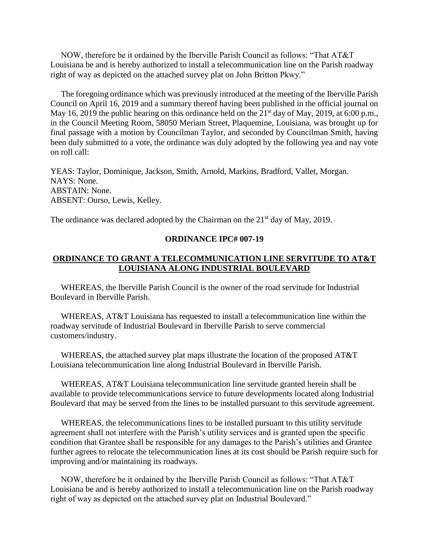NOW, therefore be it ordained by the Iberville Parish Council as follows: "That AT&T Louisiana be and is hereby authorized to install a telecommunication line on the Parish roadway right of way as depicted on the attached survey plat on John Britton Pkwy."

 The foregoing ordinance which was previously introduced at the meeting of the Iberville Parish Council on April 16, 2019 and a summary thereof having been published in the official journal on May 16, 2019 the public hearing on this ordinance held on the  $21<sup>st</sup>$  day of May, 2019, at 6:00 p.m., in the Council Meeting Room, 58050 Meriam Street, Plaquemine, Louisiana, was brought up for final passage with a motion by Councilman Taylor, and seconded by Councilman Smith, having been duly submitted to a vote, the ordinance was duly adopted by the following yea and nay vote on roll call:

YEAS: Taylor, Dominique, Jackson, Smith, Arnold, Markins, Bradford, Vallet, Morgan. NAYS: None. ABSTAIN: None. ABSENT: Ourso, Lewis, Kelley.

The ordinance was declared adopted by the Chairman on the  $21<sup>st</sup>$  day of May, 2019.

### **ORDINANCE IPC# 007-19**

## **ORDINANCE TO GRANT A TELECOMMUNICATION LINE SERVITUDE TO AT&T LOUISIANA ALONG INDUSTRIAL BOULEVARD**

 WHEREAS, the Iberville Parish Council is the owner of the road servitude for Industrial Boulevard in Iberville Parish.

 WHEREAS, AT&T Louisiana has requested to install a telecommunication line within the roadway servitude of Industrial Boulevard in Iberville Parish to serve commercial customers/industry.

 WHEREAS, the attached survey plat maps illustrate the location of the proposed AT&T Louisiana telecommunication line along Industrial Boulevard in Iberville Parish.

 WHEREAS, AT&T Louisiana telecommunication line servitude granted herein shall be available to provide telecommunications service to future developments located along Industrial Boulevard that may be served from the lines to be installed pursuant to this servitude agreement.

 WHEREAS, the telecommunications lines to be installed pursuant to this utility servitude agreement shall not interfere with the Parish's utility services and is granted upon the specific condition that Grantee shall be responsible for any damages to the Parish's utilities and Grantee further agrees to relocate the telecommunication lines at its cost should be Parish require such for improving and/or maintaining its roadways.

 NOW, therefore be it ordained by the Iberville Parish Council as follows: "That AT&T Louisiana be and is hereby authorized to install a telecommunication line on the Parish roadway right of way as depicted on the attached survey plat on Industrial Boulevard."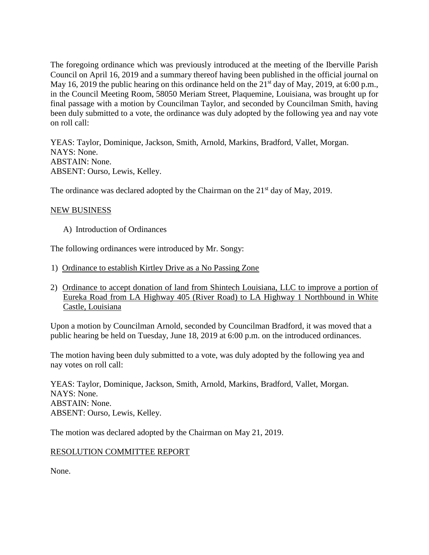The foregoing ordinance which was previously introduced at the meeting of the Iberville Parish Council on April 16, 2019 and a summary thereof having been published in the official journal on May 16, 2019 the public hearing on this ordinance held on the  $21<sup>st</sup>$  day of May, 2019, at 6:00 p.m., in the Council Meeting Room, 58050 Meriam Street, Plaquemine, Louisiana, was brought up for final passage with a motion by Councilman Taylor, and seconded by Councilman Smith, having been duly submitted to a vote, the ordinance was duly adopted by the following yea and nay vote on roll call:

YEAS: Taylor, Dominique, Jackson, Smith, Arnold, Markins, Bradford, Vallet, Morgan. NAYS: None. ABSTAIN: None. ABSENT: Ourso, Lewis, Kelley.

The ordinance was declared adopted by the Chairman on the  $21<sup>st</sup>$  day of May, 2019.

### NEW BUSINESS

A) Introduction of Ordinances

The following ordinances were introduced by Mr. Songy:

- 1) Ordinance to establish Kirtley Drive as a No Passing Zone
- 2) Ordinance to accept donation of land from Shintech Louisiana, LLC to improve a portion of Eureka Road from LA Highway 405 (River Road) to LA Highway 1 Northbound in White Castle, Louisiana

Upon a motion by Councilman Arnold, seconded by Councilman Bradford, it was moved that a public hearing be held on Tuesday, June 18, 2019 at 6:00 p.m. on the introduced ordinances.

The motion having been duly submitted to a vote, was duly adopted by the following yea and nay votes on roll call:

YEAS: Taylor, Dominique, Jackson, Smith, Arnold, Markins, Bradford, Vallet, Morgan. NAYS: None. ABSTAIN: None. ABSENT: Ourso, Lewis, Kelley.

The motion was declared adopted by the Chairman on May 21, 2019.

### RESOLUTION COMMITTEE REPORT

None.